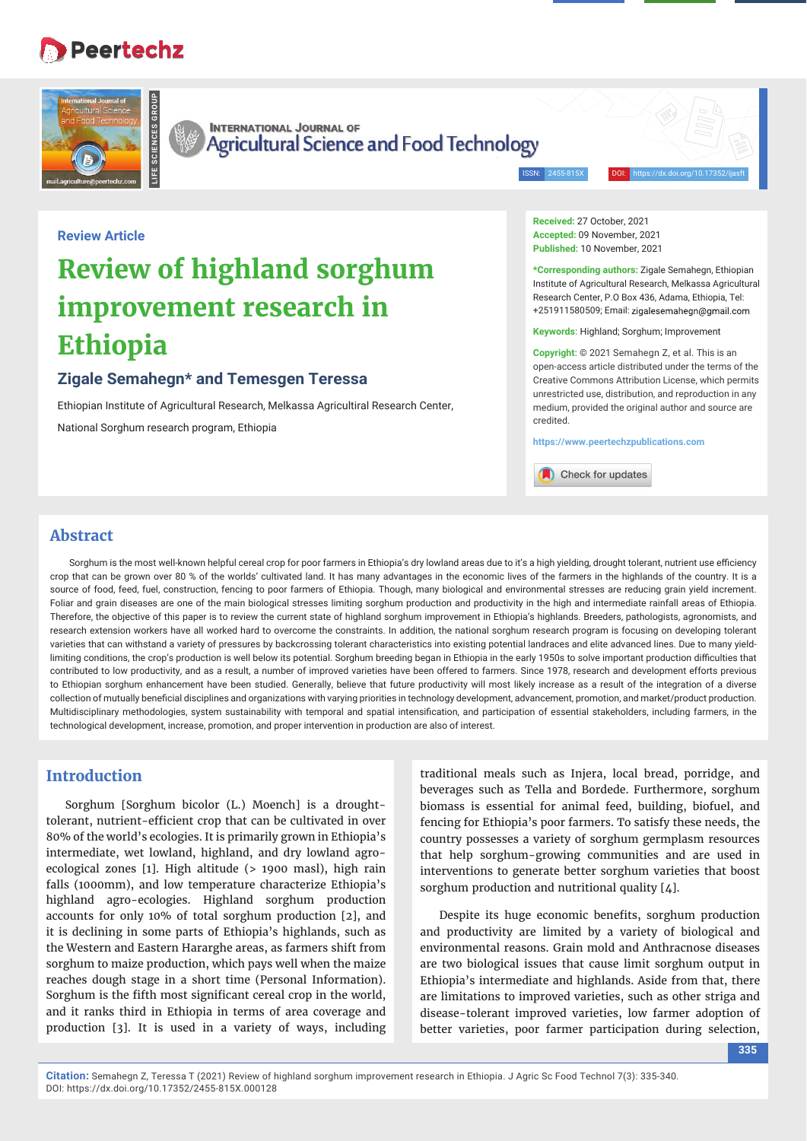## **Peertechz**



**Review Article**



**INTERNATIONAL JOURNAL OF** Agricultural Science and Food Technology

ISSN: 2455-815X DOI: https://dx.doi.org/10.17352/ijasft

# **Review of highland sorghum improvement research in Ethiopia**

## **Zigale Semahegn\* and Temesgen Teressa**

Ethiopian Institute of Agricultural Research, Melkassa Agricultiral Research Center, National Sorghum research program, Ethiopia

**Received:** 27 October, 2021 **Accepted:** 09 November, 2021 **Published:** 10 November, 2021

**\*Corresponding authors:** Zigale Semahegn, Ethiopian Institute of Agricultural Research, Melkassa Agricultural Research Center, P.O Box 436, Adama, Ethiopia, Tel: +251911580509; Email:

**Keywords:** Highland; Sorghum; Improvement

**Copyright:** © 2021 Semahegn Z, et al. This is an open-access article distributed under the terms of the Creative Commons Attribution License, which permits unrestricted use, distribution, and reproduction in any medium, provided the original author and source are credited.

**https://www.peertechzpublications.com**

Check for updates

## **Abstract**

Sorghum is the most well-known helpful cereal crop for poor farmers in Ethiopia's dry lowland areas due to it's a high yielding, drought tolerant, nutrient use efficiency crop that can be grown over 80 % of the worlds' cultivated land. It has many advantages in the economic lives of the farmers in the highlands of the country. It is a source of food, feed, fuel, construction, fencing to poor farmers of Ethiopia. Though, many biological and environmental stresses are reducing grain yield increment. Foliar and grain diseases are one of the main biological stresses limiting sorghum production and productivity in the high and intermediate rainfall areas of Ethiopia. Therefore, the objective of this paper is to review the current state of highland sorghum improvement in Ethiopia's highlands. Breeders, pathologists, agronomists, and research extension workers have all worked hard to overcome the constraints. In addition, the national sorghum research program is focusing on developing tolerant varieties that can withstand a variety of pressures by backcrossing tolerant characteristics into existing potential landraces and elite advanced lines. Due to many yieldlimiting conditions, the crop's production is well below its potential. Sorghum breeding began in Ethiopia in the early 1950s to solve important production difficulties that contributed to low productivity, and as a result, a number of improved varieties have been offered to farmers. Since 1978, research and development efforts previous to Ethiopian sorghum enhancement have been studied. Generally, believe that future productivity will most likely increase as a result of the integration of a diverse collection of mutually beneficial disciplines and organizations with varying priorities in technology development, advancement, promotion, and market/product production. Multidisciplinary methodologies, system sustainability with temporal and spatial intensification, and participation of essential stakeholders, including farmers, in the technological development, increase, promotion, and proper intervention in production are also of interest.

### **Introduction**

Sorghum [Sorghum bicolor (L.) Moench] is a droughttolerant, nutrient-efficient crop that can be cultivated in over 80% of the world's ecologies. It is primarily grown in Ethiopia's intermediate, wet lowland, highland, and dry lowland agroecological zones [1]. High altitude (> 1900 masl), high rain falls (1000mm), and low temperature characterize Ethiopia's highland agro-ecologies. Highland sorghum production accounts for only 10% of total sorghum production [2], and it is declining in some parts of Ethiopia's highlands, such as the Western and Eastern Hararghe areas, as farmers shift from sorghum to maize production, which pays well when the maize reaches dough stage in a short time (Personal Information). Sorghum is the fifth most significant cereal crop in the world, and it ranks third in Ethiopia in terms of area coverage and production [3]. It is used in a variety of ways, including traditional meals such as Injera, local bread, porridge, and beverages such as Tella and Bordede. Furthermore, sorghum biomass is essential for animal feed, building, biofuel, and fencing for Ethiopia's poor farmers. To satisfy these needs, the country possesses a variety of sorghum germplasm resources that help sorghum-growing communities and are used in interventions to generate better sorghum varieties that boost sorghum production and nutritional quality [4].

Despite its huge economic benefits, sorghum production and productivity are limited by a variety of biological and environmental reasons. Grain mold and Anthracnose diseases are two biological issues that cause limit sorghum output in Ethiopia's intermediate and highlands. Aside from that, there are limitations to improved varieties, such as other striga and disease-tolerant improved varieties, low farmer adoption of better varieties, poor farmer participation during selection,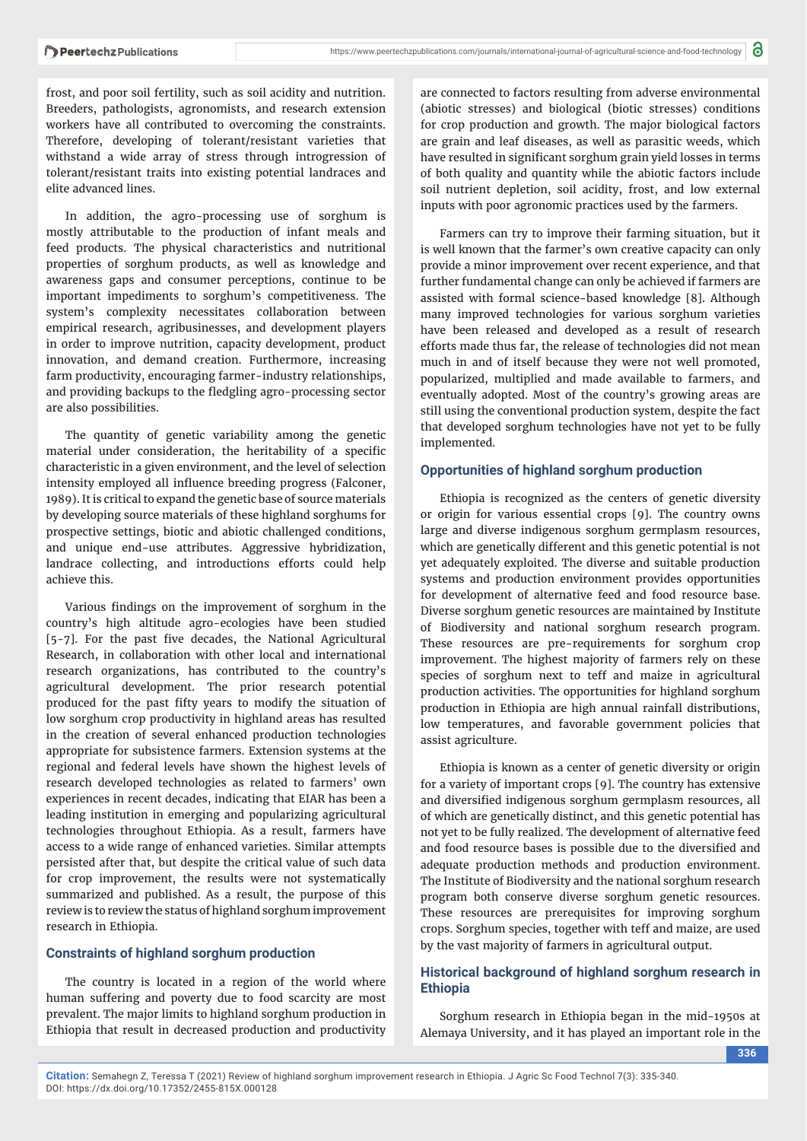frost, and poor soil fertility, such as soil acidity and nutrition. Breeders, pathologists, agronomists, and research extension workers have all contributed to overcoming the constraints. Therefore, developing of tolerant/resistant varieties that withstand a wide array of stress through introgression of tolerant/resistant traits into existing potential landraces and elite advanced lines.

In addition, the agro-processing use of sorghum is mostly attributable to the production of infant meals and feed products. The physical characteristics and nutritional properties of sorghum products, as well as knowledge and awareness gaps and consumer perceptions, continue to be important impediments to sorghum's competitiveness. The system's complexity necessitates collaboration between empirical research, agribusinesses, and development players in order to improve nutrition, capacity development, product innovation, and demand creation. Furthermore, increasing farm productivity, encouraging farmer-industry relationships, and providing backups to the fledgling agro-processing sector are also possibilities.

The quantity of genetic variability among the genetic material under consideration, the heritability of a specific characteristic in a given environment, and the level of selection intensity employed all influence breeding progress (Falconer, 1989). It is critical to expand the genetic base of source materials by developing source materials of these highland sorghums for prospective settings, biotic and abiotic challenged conditions, and unique end-use attributes. Aggressive hybridization, landrace collecting, and introductions efforts could help achieve this.

Various findings on the improvement of sorghum in the country's high altitude agro-ecologies have been studied [5-7]. For the past five decades, the National Agricultural Research, in collaboration with other local and international research organizations, has contributed to the country's agricultural development. The prior research potential produced for the past fifty years to modify the situation of low sorghum crop productivity in highland areas has resulted in the creation of several enhanced production technologies appropriate for subsistence farmers. Extension systems at the regional and federal levels have shown the highest levels of research developed technologies as related to farmers' own experiences in recent decades, indicating that EIAR has been a leading institution in emerging and popularizing agricultural technologies throughout Ethiopia. As a result, farmers have access to a wide range of enhanced varieties. Similar attempts persisted after that, but despite the critical value of such data for crop improvement, the results were not systematically summarized and published. As a result, the purpose of this review is to review the status of highland sorghum improvement research in Ethiopia.

#### **Constraints of highland sorghum production**

The country is located in a region of the world where human suffering and poverty due to food scarcity are most prevalent. The major limits to highland sorghum production in Ethiopia that result in decreased production and productivity

are connected to factors resulting from adverse environmental (abiotic stresses) and biological (biotic stresses) conditions for crop production and growth. The major biological factors are grain and leaf diseases, as well as parasitic weeds, which have resulted in significant sorghum grain yield losses in terms of both quality and quantity while the abiotic factors include soil nutrient depletion, soil acidity, frost, and low external inputs with poor agronomic practices used by the farmers.

Farmers can try to improve their farming situation, but it is well known that the farmer's own creative capacity can only provide a minor improvement over recent experience, and that further fundamental change can only be achieved if farmers are assisted with formal science-based knowledge [8]. Although many improved technologies for various sorghum varieties have been released and developed as a result of research efforts made thus far, the release of technologies did not mean much in and of itself because they were not well promoted, popularized, multiplied and made available to farmers, and eventually adopted. Most of the country's growing areas are still using the conventional production system, despite the fact that developed sorghum technologies have not yet to be fully implemented.

#### **Opportunities of highland sorghum production**

Ethiopia is recognized as the centers of genetic diversity or origin for various essential crops [9]. The country owns large and diverse indigenous sorghum germplasm resources, which are genetically different and this genetic potential is not yet adequately exploited. The diverse and suitable production systems and production environment provides opportunities for development of alternative feed and food resource base. Diverse sorghum genetic resources are maintained by Institute of Biodiversity and national sorghum research program. These resources are pre-requirements for sorghum crop improvement. The highest majority of farmers rely on these species of sorghum next to teff and maize in agricultural production activities. The opportunities for highland sorghum production in Ethiopia are high annual rainfall distributions, low temperatures, and favorable government policies that assist agriculture.

Ethiopia is known as a center of genetic diversity or origin for a variety of important crops [9]. The country has extensive and diversified indigenous sorghum germplasm resources, all of which are genetically distinct, and this genetic potential has not yet to be fully realized. The development of alternative feed and food resource bases is possible due to the diversified and adequate production methods and production environment. The Institute of Biodiversity and the national sorghum research program both conserve diverse sorghum genetic resources. These resources are prerequisites for improving sorghum crops. Sorghum species, together with teff and maize, are used by the vast majority of farmers in agricultural output.

#### **Historical background of highland sorghum research in Ethiopia**

Sorghum research in Ethiopia began in the mid-1950s at Alemaya University, and it has played an important role in the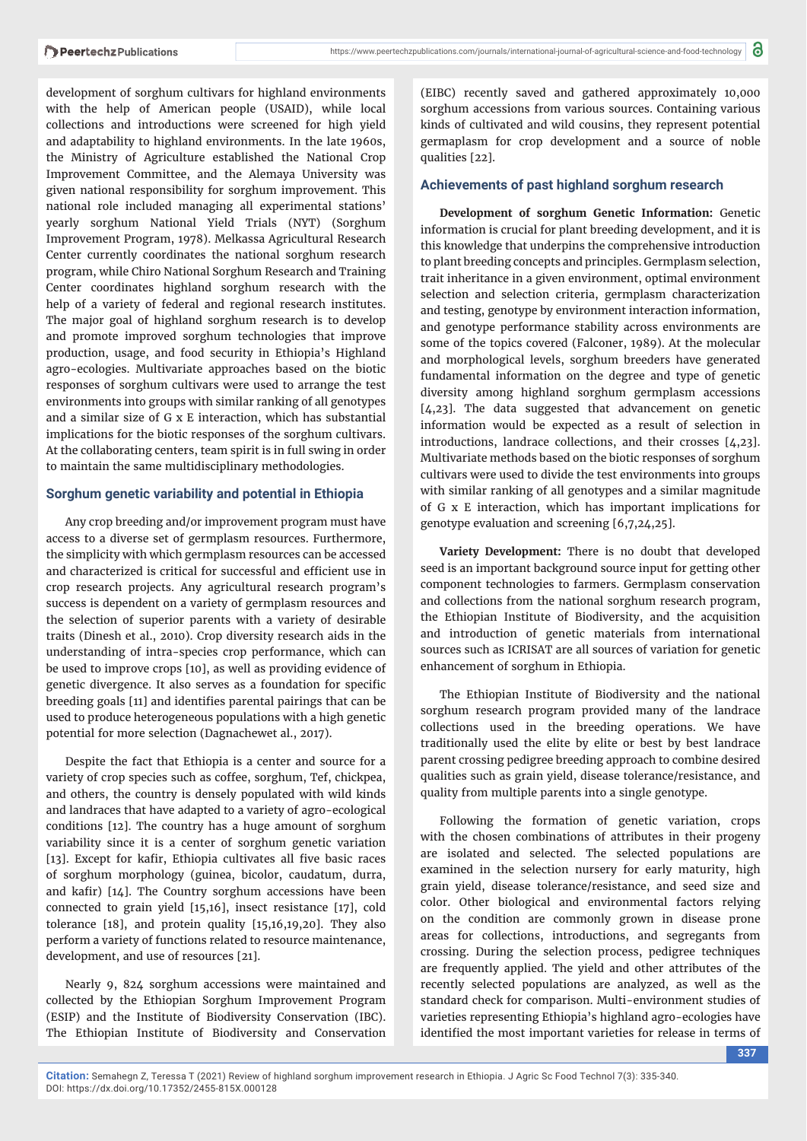development of sorghum cultivars for highland environments with the help of American people (USAID), while local collections and introductions were screened for high yield and adaptability to highland environments. In the late 1960s, the Ministry of Agriculture established the National Crop Improvement Committee, and the Alemaya University was given national responsibility for sorghum improvement. This national role included managing all experimental stations' yearly sorghum National Yield Trials (NYT) (Sorghum Improvement Program, 1978). Melkassa Agricultural Research Center currently coordinates the national sorghum research program, while Chiro National Sorghum Research and Training Center coordinates highland sorghum research with the help of a variety of federal and regional research institutes. The major goal of highland sorghum research is to develop and promote improved sorghum technologies that improve production, usage, and food security in Ethiopia's Highland agro-ecologies. Multivariate approaches based on the biotic responses of sorghum cultivars were used to arrange the test environments into groups with similar ranking of all genotypes and a similar size of G x E interaction, which has substantial implications for the biotic responses of the sorghum cultivars. At the collaborating centers, team spirit is in full swing in order to maintain the same multidisciplinary methodologies.

#### **Sorghum genetic variability and potential in Ethiopia**

Any crop breeding and/or improvement program must have access to a diverse set of germplasm resources. Furthermore, the simplicity with which germplasm resources can be accessed and characterized is critical for successful and efficient use in crop research projects. Any agricultural research program's success is dependent on a variety of germplasm resources and the selection of superior parents with a variety of desirable traits (Dinesh et al., 2010). Crop diversity research aids in the understanding of intra-species crop performance, which can be used to improve crops [10], as well as providing evidence of genetic divergence. It also serves as a foundation for specific breeding goals [11] and identifies parental pairings that can be used to produce heterogeneous populations with a high genetic potential for more selection (Dagnachewet al., 2017).

Despite the fact that Ethiopia is a center and source for a variety of crop species such as coffee, sorghum, Tef, chickpea, and others, the country is densely populated with wild kinds and landraces that have adapted to a variety of agro-ecological conditions [12]. The country has a huge amount of sorghum variability since it is a center of sorghum genetic variation [13]. Except for kafir, Ethiopia cultivates all five basic races of sorghum morphology (guinea, bicolor, caudatum, durra, and kafir)  $[14]$ . The Country sorghum accessions have been connected to grain yield [15,16], insect resistance [17], cold tolerance [18], and protein quality [15,16,19,20]. They also perform a variety of functions related to resource maintenance, development, and use of resources [21].

Nearly 9, 824 sorghum accessions were maintained and collected by the Ethiopian Sorghum Improvement Program (ESIP) and the Institute of Biodiversity Conservation (IBC). The Ethiopian Institute of Biodiversity and Conservation

(EIBC) recently saved and gathered approximately 10,000 sorghum accessions from various sources. Containing various kinds of cultivated and wild cousins, they represent potential germaplasm for crop development and a source of noble qualities [22].

#### **Achievements of past highland sorghum research**

**Development of sorghum Genetic Information:** Genetic information is crucial for plant breeding development, and it is this knowledge that underpins the comprehensive introduction to plant breeding concepts and principles. Germplasm selection, trait inheritance in a given environment, optimal environment selection and selection criteria, germplasm characterization and testing, genotype by environment interaction information, and genotype performance stability across environments are some of the topics covered (Falconer, 1989). At the molecular and morphological levels, sorghum breeders have generated fundamental information on the degree and type of genetic diversity among highland sorghum germplasm accessions [4,23]. The data suggested that advancement on genetic information would be expected as a result of selection in introductions, landrace collections, and their crosses [4,23]. Multivariate methods based on the biotic responses of sorghum cultivars were used to divide the test environments into groups with similar ranking of all genotypes and a similar magnitude of G x E interaction, which has important implications for genotype evaluation and screening [6,7,24,25].

**Variety Development:** There is no doubt that developed seed is an important background source input for getting other component technologies to farmers. Germplasm conservation and collections from the national sorghum research program, the Ethiopian Institute of Biodiversity, and the acquisition and introduction of genetic materials from international sources such as ICRISAT are all sources of variation for genetic enhancement of sorghum in Ethiopia.

The Ethiopian Institute of Biodiversity and the national sorghum research program provided many of the landrace collections used in the breeding operations. We have traditionally used the elite by elite or best by best landrace parent crossing pedigree breeding approach to combine desired qualities such as grain yield, disease tolerance/resistance, and quality from multiple parents into a single genotype.

Following the formation of genetic variation, crops with the chosen combinations of attributes in their progeny are isolated and selected. The selected populations are examined in the selection nursery for early maturity, high grain yield, disease tolerance/resistance, and seed size and color. Other biological and environmental factors relying on the condition are commonly grown in disease prone areas for collections, introductions, and segregants from crossing. During the selection process, pedigree techniques are frequently applied. The yield and other attributes of the recently selected populations are analyzed, as well as the standard check for comparison. Multi-environment studies of varieties representing Ethiopia's highland agro-ecologies have identified the most important varieties for release in terms of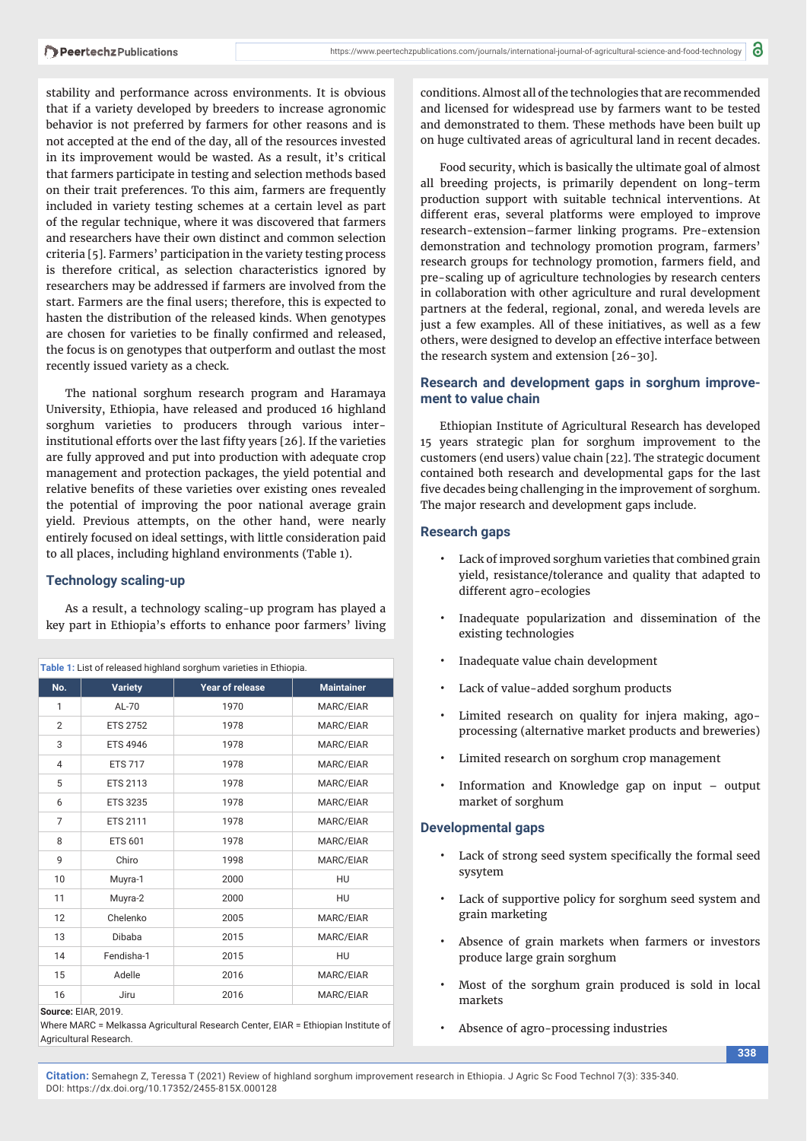stability and performance across environments. It is obvious that if a variety developed by breeders to increase agronomic behavior is not preferred by farmers for other reasons and is not accepted at the end of the day, all of the resources invested in its improvement would be wasted. As a result, it's critical that farmers participate in testing and selection methods based on their trait preferences. To this aim, farmers are frequently included in variety testing schemes at a certain level as part of the regular technique, where it was discovered that farmers and researchers have their own distinct and common selection criteria [5]. Farmers' participation in the variety testing process is therefore critical, as selection characteristics ignored by researchers may be addressed if farmers are involved from the start. Farmers are the final users; therefore, this is expected to hasten the distribution of the released kinds. When genotypes are chosen for varieties to be finally confirmed and released, the focus is on genotypes that outperform and outlast the most recently issued variety as a check.

The national sorghum research program and Haramaya University, Ethiopia, have released and produced 16 highland sorghum varieties to producers through various interinstitutional efforts over the last fifty years [26]. If the varieties are fully approved and put into production with adequate crop management and protection packages, the yield potential and relative benefits of these varieties over existing ones revealed the potential of improving the poor national average grain yield. Previous attempts, on the other hand, were nearly entirely focused on ideal settings, with little consideration paid to all places, including highland environments (Table 1).

#### **Technology scaling-up**

As a result, a technology scaling-up program has played a key part in Ethiopia's efforts to enhance poor farmers' living

| Table 1: List of released highland sorghum varieties in Ethiopia. |                 |                 |                   |
|-------------------------------------------------------------------|-----------------|-----------------|-------------------|
| No.                                                               | <b>Variety</b>  | Year of release | <b>Maintainer</b> |
| 1                                                                 | $AL-70$         | 1970            | MARC/EIAR         |
| $\overline{2}$                                                    | <b>ETS 2752</b> | 1978            | MARC/EIAR         |
| 3                                                                 | <b>ETS 4946</b> | 1978            | MARC/EIAR         |
| 4                                                                 | <b>ETS 717</b>  | 1978            | MARC/EIAR         |
| 5                                                                 | <b>ETS 2113</b> | 1978            | MARC/EIAR         |
| 6                                                                 | <b>ETS 3235</b> | 1978            | MARC/EIAR         |
| $\overline{7}$                                                    | <b>ETS 2111</b> | 1978            | MARC/EIAR         |
| 8                                                                 | <b>ETS 601</b>  | 1978            | MARC/EIAR         |
| 9                                                                 | Chiro           | 1998            | MARC/EIAR         |
| 10                                                                | Muyra-1         | 2000            | HU                |
| 11                                                                | Muyra-2         | 2000            | HU                |
| 12                                                                | Chelenko        | 2005            | MARC/EIAR         |
| 13                                                                | Dibaba          | 2015            | MARC/EIAR         |
| 14                                                                | Fendisha-1      | 2015            | HU                |
| 15                                                                | Adelle          | 2016            | MARC/EIAR         |
| 16                                                                | Jiru            | 2016            | MARC/EIAR         |

**Source:** EIAR, 2019.

Where MARC = Melkassa Agricultural Research Center, EIAR = Ethiopian Institute of Agricultural Research.

conditions. Almost all of the technologies that are recommended and licensed for widespread use by farmers want to be tested and demonstrated to them. These methods have been built up on huge cultivated areas of agricultural land in recent decades.

Food security, which is basically the ultimate goal of almost all breeding projects, is primarily dependent on long-term production support with suitable technical interventions. At different eras, several platforms were employed to improve research-extension–farmer linking programs. Pre-extension demonstration and technology promotion program, farmers' research groups for technology promotion, farmers field, and pre-scaling up of agriculture technologies by research centers in collaboration with other agriculture and rural development partners at the federal, regional, zonal, and wereda levels are just a few examples. All of these initiatives, as well as a few others, were designed to develop an effective interface between the research system and extension [26-30].

#### **Research and development gaps in sorghum improvement to value chain**

Ethiopian Institute of Agricultural Research has developed 15 years strategic plan for sorghum improvement to the customers (end users) value chain [22]. The strategic document contained both research and developmental gaps for the last five decades being challenging in the improvement of sorghum. The major research and development gaps include.

#### **Research gaps**

- Lack of improved sorghum varieties that combined grain yield, resistance/tolerance and quality that adapted to different agro-ecologies
- Inadequate popularization and dissemination of the existing technologies
- Inadequate value chain development
- Lack of value-added sorghum products
- Limited research on quality for injera making, agoprocessing (alternative market products and breweries)
- Limited research on sorghum crop management
- Information and Knowledge gap on input output market of sorghum

#### **Developmental gaps**

- Lack of strong seed system specifically the formal seed sysytem
- Lack of supportive policy for sorghum seed system and grain marketing
- Absence of grain markets when farmers or investors produce large grain sorghum
- Most of the sorghum grain produced is sold in local markets

**338**

• Absence of agro-processing industries

**Citation:** Semahegn Z, Teressa T (2021) Review of highland sorghum improvement research in Ethiopia. J Agric Sc Food Technol 7(3): 335-340. DOI: https://dx.doi.org/10.17352/2455-815X.000128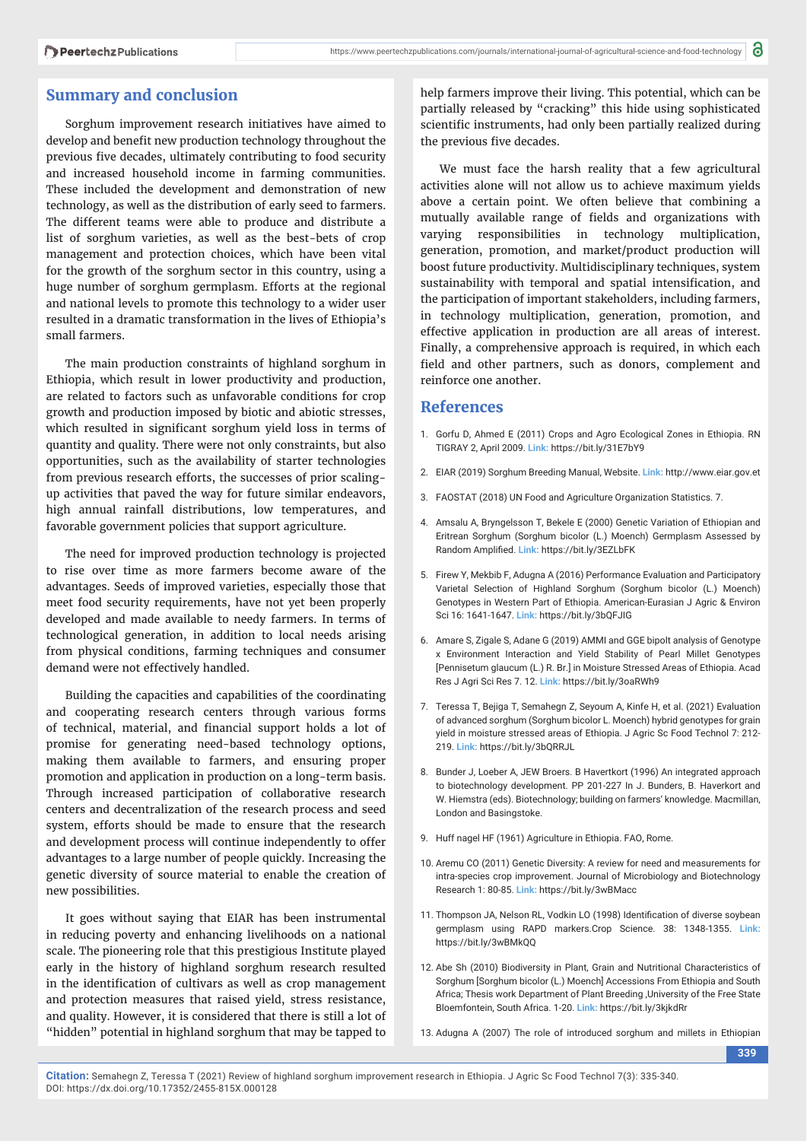#### **Summary and conclusion**

Sorghum improvement research initiatives have aimed to develop and benefit new production technology throughout the previous five decades, ultimately contributing to food security and increased household income in farming communities. These included the development and demonstration of new technology, as well as the distribution of early seed to farmers. The different teams were able to produce and distribute a list of sorghum varieties, as well as the best-bets of crop management and protection choices, which have been vital for the growth of the sorghum sector in this country, using a huge number of sorghum germplasm. Efforts at the regional and national levels to promote this technology to a wider user resulted in a dramatic transformation in the lives of Ethiopia's small farmers.

The main production constraints of highland sorghum in Ethiopia, which result in lower productivity and production, are related to factors such as unfavorable conditions for crop growth and production imposed by biotic and abiotic stresses, which resulted in significant sorghum yield loss in terms of quantity and quality. There were not only constraints, but also opportunities, such as the availability of starter technologies from previous research efforts, the successes of prior scalingup activities that paved the way for future similar endeavors, high annual rainfall distributions, low temperatures, and favorable government policies that support agriculture.

The need for improved production technology is projected to rise over time as more farmers become aware of the advantages. Seeds of improved varieties, especially those that meet food security requirements, have not yet been properly developed and made available to needy farmers. In terms of technological generation, in addition to local needs arising from physical conditions, farming techniques and consumer demand were not effectively handled.

Building the capacities and capabilities of the coordinating and cooperating research centers through various forms of technical, material, and financial support holds a lot of promise for generating need-based technology options, making them available to farmers, and ensuring proper promotion and application in production on a long-term basis. Through increased participation of collaborative research centers and decentralization of the research process and seed system, efforts should be made to ensure that the research and development process will continue independently to offer advantages to a large number of people quickly. Increasing the genetic diversity of source material to enable the creation of new possibilities.

It goes without saying that EIAR has been instrumental in reducing poverty and enhancing livelihoods on a national scale. The pioneering role that this prestigious Institute played early in the history of highland sorghum research resulted in the identification of cultivars as well as crop management and protection measures that raised yield, stress resistance, and quality. However, it is considered that there is still a lot of "hidden" potential in highland sorghum that may be tapped to

help farmers improve their living. This potential, which can be partially released by "cracking" this hide using sophisticated scientific instruments, had only been partially realized during the previous five decades.

We must face the harsh reality that a few agricultural activities alone will not allow us to achieve maximum yields above a certain point. We often believe that combining a mutually available range of fields and organizations with varying responsibilities in technology multiplication, generation, promotion, and market/product production will boost future productivity. Multidisciplinary techniques, system sustainability with temporal and spatial intensification, and the participation of important stakeholders, including farmers, in technology multiplication, generation, promotion, and effective application in production are all areas of interest. Finally, a comprehensive approach is required, in which each field and other partners, such as donors, complement and reinforce one another.

#### **References**

- 1. Gorfu D, Ahmed E (2011) Crops and Agro Ecological Zones in Ethiopia. RN TIGRAY 2, April 2009. **Link:** https://bit.ly/31E7bY9
- 2. EIAR (2019) Sorghum Breeding Manual, Website. **Link:** http://www.eiar.gov.et
- 3. FAOSTAT (2018) UN Food and Agriculture Organization Statistics. 7.
- 4. Amsalu A, Bryngelsson T, Bekele E (2000) Genetic Variation of Ethiopian and Eritrean Sorghum (Sorghum bicolor (L.) Moench) Germplasm Assessed by Random Amplified. Link: https://bit.ly/3EZLbFK
- 5. Firew Y, Mekbib F, Adugna A (2016) Performance Evaluation and Participatory Varietal Selection of Highland Sorghum (Sorghum bicolor (L.) Moench) Genotypes in Western Part of Ethiopia. American-Eurasian J Agric & Environ Sci 16: 1641-1647. **Link:** https://bit.ly/3bQFJIG
- 6. Amare S, Zigale S, Adane G (2019) AMMI and GGE bipolt analysis of Genotype x Environment Interaction and Yield Stability of Pearl Millet Genotypes [Pennisetum glaucum (L.) R. Br.] in Moisture Stressed Areas of Ethiopia. Acad Res J Agri Sci Res 7. 12. **Link:** https://bit.ly/3oaRWh9
- 7. Teressa T, Bejiga T, Semahegn Z, Seyoum A, Kinfe H, et al. (2021) Evaluation of advanced sorghum (Sorghum bicolor L. Moench) hybrid genotypes for grain yield in moisture stressed areas of Ethiopia. J Agric Sc Food Technol 7: 212- 219. **Link:** https://bit.ly/3bQRRJL
- 8. Bunder J, Loeber A, JEW Broers. B Havertkort (1996) An integrated approach to biotechnology development. PP 201-227 In J. Bunders, B. Haverkort and W. Hiemstra (eds). Biotechnology; building on farmers' knowledge. Macmillan, London and Basingstoke.
- 9. Huff nagel HF (1961) Agriculture in Ethiopia. FAO, Rome.
- 10. Aremu CO (2011) Genetic Diversity: A review for need and measurements for intra-species crop improvement. Journal of Microbiology and Biotechnology Research 1: 80-85. **Link:** https://bit.ly/3wBMacc
- 11. Thompson JA, Nelson RL, Vodkin LO (1998) Identification of diverse soybean germplasm using RAPD markers.Crop Science. 38: 1348-1355. **Link:** https://bit.ly/3wBMkQQ
- 12. Abe Sh (2010) Biodiversity in Plant, Grain and Nutritional Characteristics of Sorghum [Sorghum bicolor (L.) Moench] Accessions From Ethiopia and South Africa; Thesis work Department of Plant Breeding ,University of the Free State Bloemfontein, South Africa. 1-20. **Link:** https://bit.ly/3kjkdRr
- 13. Adugna A (2007) The role of introduced sorghum and millets in Ethiopian

**339**

**Citation:** Semahegn Z, Teressa T (2021) Review of highland sorghum improvement research in Ethiopia. J Agric Sc Food Technol 7(3): 335-340. DOI: https://dx.doi.org/10.17352/2455-815X.000128